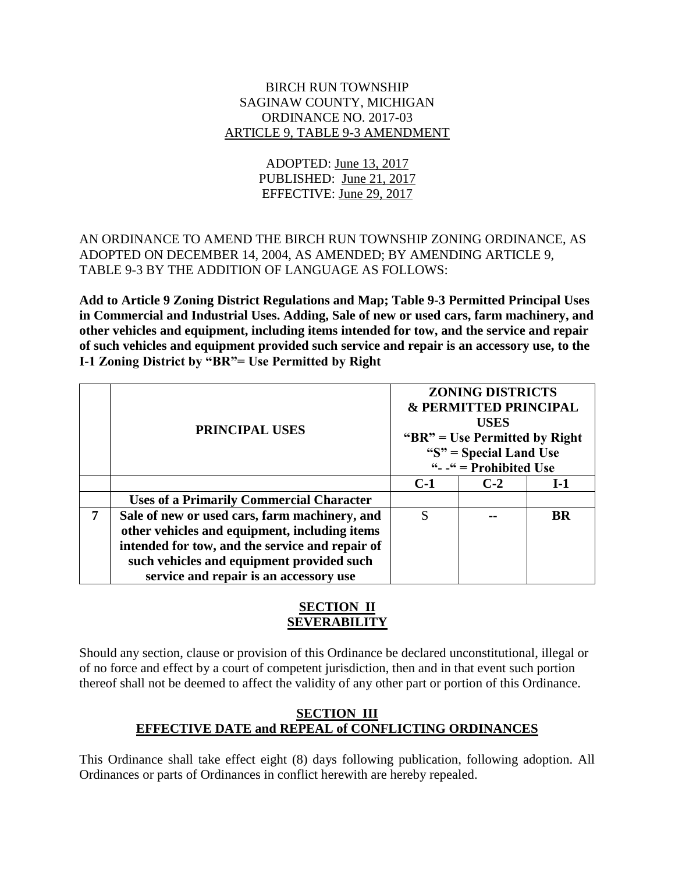#### BIRCH RUN TOWNSHIP SAGINAW COUNTY, MICHIGAN ORDINANCE NO. 2017-03 ARTICLE 9, TABLE 9-3 AMENDMENT

# ADOPTED: June 13, 2017 PUBLISHED: June 21, 2017 EFFECTIVE: June 29, 2017

# AN ORDINANCE TO AMEND THE BIRCH RUN TOWNSHIP ZONING ORDINANCE, AS ADOPTED ON DECEMBER 14, 2004, AS AMENDED; BY AMENDING ARTICLE 9, TABLE 9-3 BY THE ADDITION OF LANGUAGE AS FOLLOWS:

**Add to Article 9 Zoning District Regulations and Map; Table 9-3 Permitted Principal Uses in Commercial and Industrial Uses. Adding, Sale of new or used cars, farm machinery, and other vehicles and equipment, including items intended for tow, and the service and repair of such vehicles and equipment provided such service and repair is an accessory use, to the I-1 Zoning District by "BR"= Use Permitted by Right**

|   | <b>PRINCIPAL USES</b>                           | <b>ZONING DISTRICTS</b><br><b>&amp; PERMITTED PRINCIPAL</b><br><b>USES</b><br>" $BR"$ = Use Permitted by Right"<br>" $S$ " = Special Land Use<br>" $-$ " = Prohibited Use |       |           |
|---|-------------------------------------------------|---------------------------------------------------------------------------------------------------------------------------------------------------------------------------|-------|-----------|
|   |                                                 | $C-1$                                                                                                                                                                     | $C-2$ | $I-1$     |
|   | <b>Uses of a Primarily Commercial Character</b> |                                                                                                                                                                           |       |           |
| 7 | Sale of new or used cars, farm machinery, and   | S                                                                                                                                                                         |       | <b>BR</b> |
|   | other vehicles and equipment, including items   |                                                                                                                                                                           |       |           |
|   | intended for tow, and the service and repair of |                                                                                                                                                                           |       |           |
|   | such vehicles and equipment provided such       |                                                                                                                                                                           |       |           |
|   | service and repair is an accessory use          |                                                                                                                                                                           |       |           |

# **SECTION II SEVERABILITY**

Should any section, clause or provision of this Ordinance be declared unconstitutional, illegal or of no force and effect by a court of competent jurisdiction, then and in that event such portion thereof shall not be deemed to affect the validity of any other part or portion of this Ordinance.

### **SECTION III EFFECTIVE DATE and REPEAL of CONFLICTING ORDINANCES**

This Ordinance shall take effect eight (8) days following publication, following adoption. All Ordinances or parts of Ordinances in conflict herewith are hereby repealed.